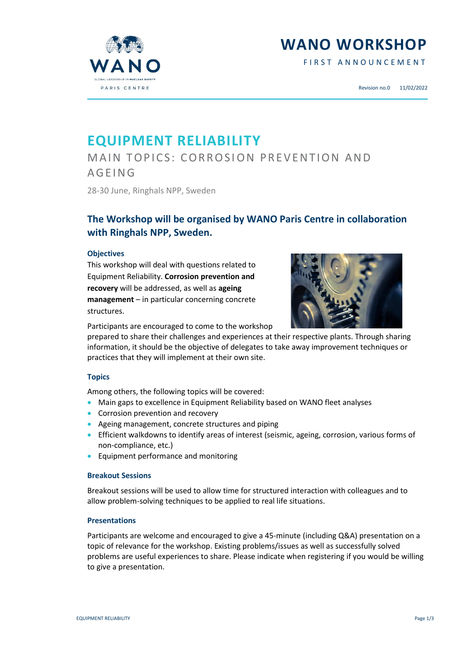**WANO WORKSHOP**

FIRST ANNOUNCEMENT



## **EQUIPMENT RELIABILITY**

MAIN TOPICS: CORROSION PREVENTION AND **AGEING** 

28-30 June, Ringhals NPP, Sweden

### **The Workshop will be organised by WANO Paris Centre in collaboration with Ringhals NPP, Sweden.**

#### **Objectives**

This workshop will deal with questions related to Equipment Reliability. **Corrosion prevention and recovery** will be addressed, as well as **ageing management** – in particular concerning concrete structures.



Participants are encouraged to come to the workshop

prepared to share their challenges and experiences at their respective plants. Through sharing information, it should be the objective of delegates to take away improvement techniques or practices that they will implement at their own site.

#### **Topics**

Among others, the following topics will be covered:

- Main gaps to excellence in Equipment Reliability based on WANO fleet analyses
- Corrosion prevention and recovery
- Ageing management, concrete structures and piping
- Efficient walkdowns to identify areas of interest (seismic, ageing, corrosion, various forms of non-compliance, etc.)
- **•** Equipment performance and monitoring

#### **Breakout Sessions**

Breakout sessions will be used to allow time for structured interaction with colleagues and to allow problem-solving techniques to be applied to real life situations.

#### **Presentations**

Participants are welcome and encouraged to give a 45-minute (including Q&A) presentation on a topic of relevance for the workshop. Existing problems/issues as well as successfully solved problems are useful experiences to share. Please indicate when registering if you would be willing to give a presentation.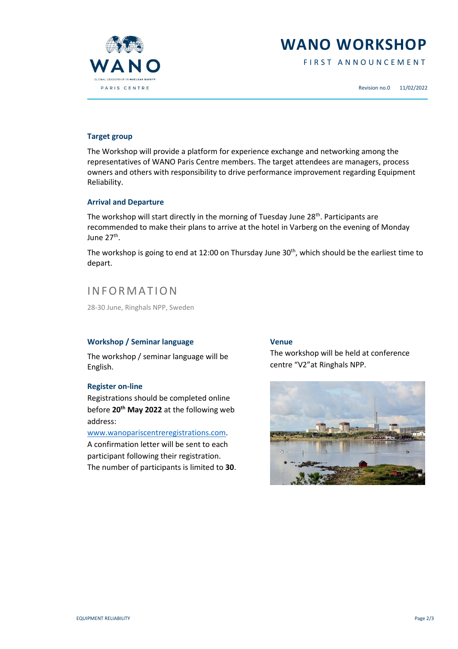

## **WANO WORKSHOP**

FIRST ANNOUNCEMENT

Revision no.0 11/02/2022

#### **Target group**

The Workshop will provide a platform for experience exchange and networking among the representatives of WANO Paris Centre members. The target attendees are managers, process owners and others with responsibility to drive performance improvement regarding Equipment Reliability.

#### **Arrival and Departure**

The workshop will start directly in the morning of Tuesday June 28<sup>th</sup>. Participants are recommended to make their plans to arrive at the hotel in Varberg on the evening of Monday June 27<sup>th</sup>.

The workshop is going to end at 12:00 on Thursday June  $30<sup>th</sup>$ , which should be the earliest time to depart.

### **INFORMATION**

28-30 June, Ringhals NPP, Sweden

#### **Workshop / Seminar language**

The workshop / seminar language will be English.

#### **Register on-line**

Registrations should be completed online before **20th May 2022** at the following web address:

#### [www.wanopariscentreregistrations.com.](http://www.wanopariscentreregistrations.com/)

A confirmation letter will be sent to each participant following their registration. The number of participants is limited to **30**.

#### **Venue**

The workshop will be held at conference centre "V2"at Ringhals NPP.